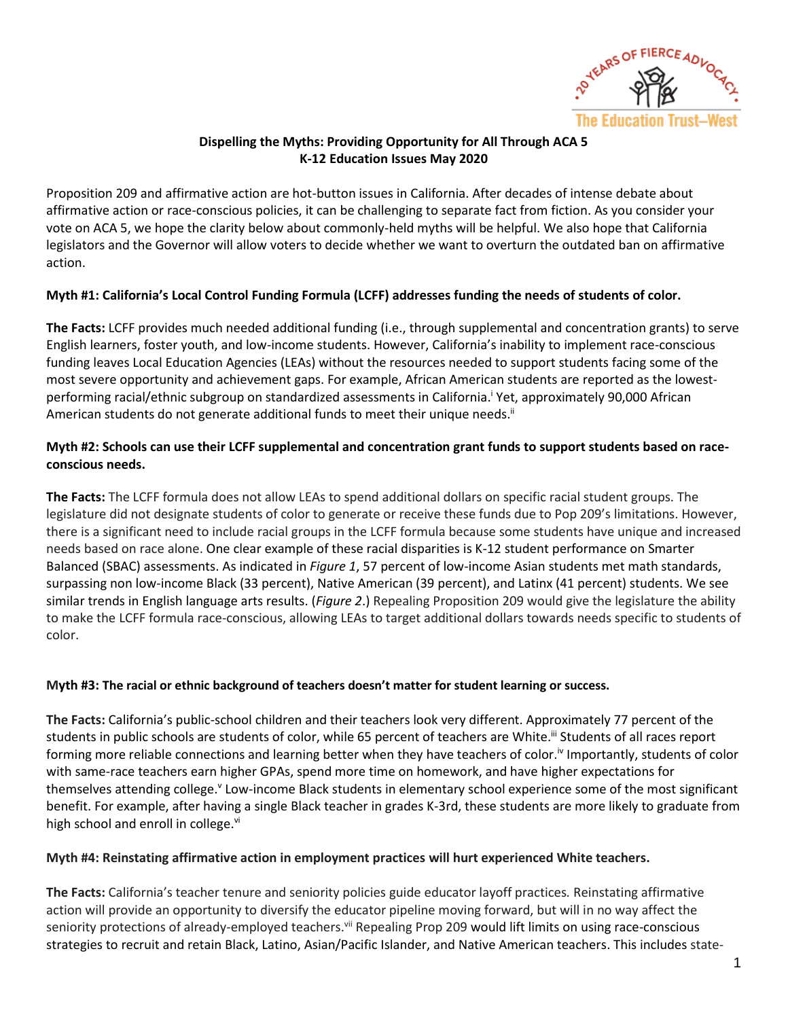

# **Dispelling the Myths: Providing Opportunity for All Through ACA 5 K-12 Education Issues May 2020**

Proposition 209 and affirmative action are hot-button issues in California. After decades of intense debate about affirmative action or race-conscious policies, it can be challenging to separate fact from fiction. As you consider your vote on ACA 5, we hope the clarity below about commonly-held myths will be helpful. We also hope that California legislators and the Governor will allow voters to decide whether we want to overturn the outdated ban on affirmative action.

## **Myth #1: California's Local Control Funding Formula (LCFF) addresses funding the needs of students of color.**

**The Facts:** LCFF provides much needed additional funding (i.e., through supplemental and concentration grants) to serve English learners, foster youth, and low-income students. However, California's inability to implement race-conscious funding leaves Local Education Agencies (LEAs) without the resources needed to support students facing some of the most severe opportunity and achievement gaps. For example, African American students are reported as the lowestperforming racial/ethnic subgroup on standardized assessments in California. <sup>i</sup> Yet, approximately 90,000 African American students do not generate additional funds to meet their unique needs.<sup>ii</sup>

# **Myth #2: Schools can use their LCFF supplemental and concentration grant funds to support students based on raceconscious needs.**

**The Facts:** The LCFF formula does not allow LEAs to spend additional dollars on specific racial student groups. The legislature did not designate students of color to generate or receive these funds due to Pop 209's limitations. However, there is a significant need to include racial groups in the LCFF formula because some students have unique and increased needs based on race alone. One clear example of these racial disparities is K-12 student performance on Smarter Balanced (SBAC) assessments. As indicated in *Figure 1*, 57 percent of low-income Asian students met math standards, surpassing non low-income Black (33 percent), Native American (39 percent), and Latinx (41 percent) students. We see similar trends in English language arts results. (*Figure 2*.) Repealing Proposition 209 would give the legislature the ability to make the LCFF formula race-conscious, allowing LEAs to target additional dollars towards needs specific to students of color.

## **Myth #3: The racial or ethnic background of teachers doesn't matter for student learning or success.**

**The Facts:** California's public-school children and their teachers look very different. Approximately 77 percent of the students in public schools are students of color, while 65 percent of teachers are White.<sup>iii</sup> Students of all races report forming more reliable connections and learning better when they have teachers of color.<sup>iv</sup> Importantly, students of color with same-race teachers earn higher GPAs, spend more time on homework, and have higher expectations for themselves attending college.<sup>v</sup> Low-income Black students in elementary school experience some of the most significant benefit. For example, after having a single Black teacher in grades K-3rd, these students are more likely to graduate from high school and enroll in college.<sup>vi</sup>

#### **Myth #4: Reinstating affirmative action in employment practices will hurt experienced White teachers.**

**The Facts:** California's teacher tenure and seniority policies guide educator layoff practices*.* Reinstating affirmative action will provide an opportunity to diversify the educator pipeline moving forward, but will in no way affect the seniority protections of already-employed teachers.<sup>vii</sup> Repealing Prop 209 would lift limits on using race-conscious strategies to recruit and retain Black, Latino, Asian/Pacific Islander, and Native American teachers. This includes state-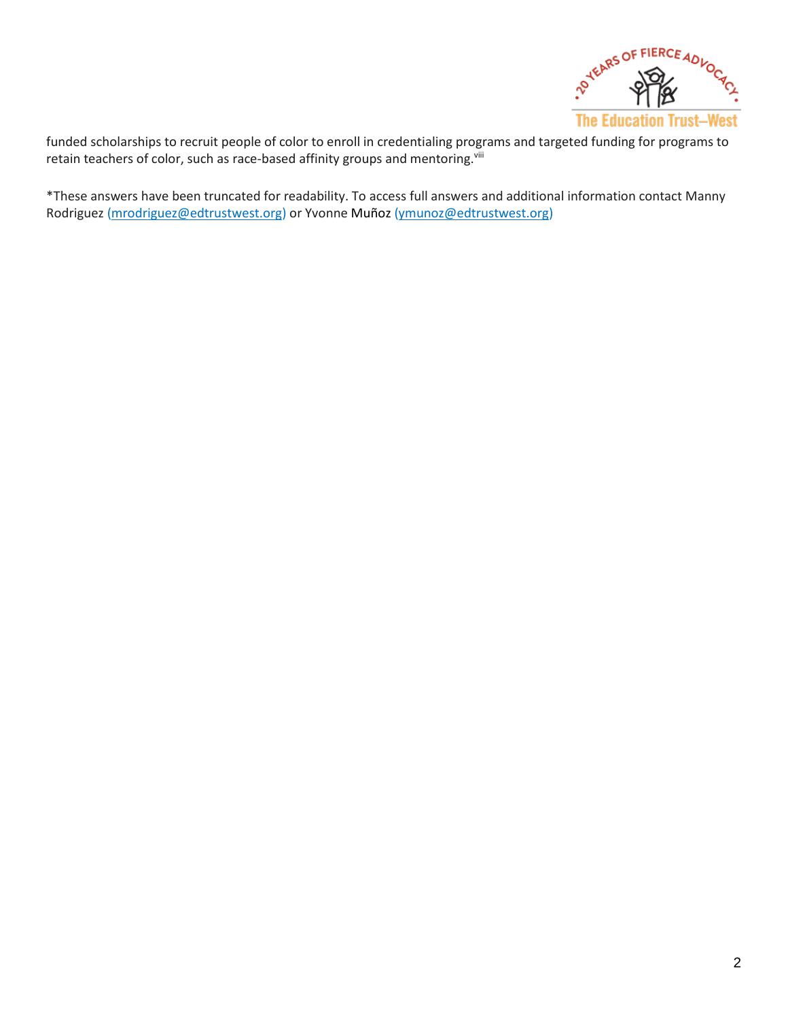

funded scholarships to recruit people of color to enroll in credentialing programs and targeted funding for programs to retain teachers of color, such as race-based affinity groups and mentoring. Vill

\*These answers have been truncated for readability. To access full answers and additional information contact Manny Rodriguez [\(mrodriguez@edtrustwest.org\)](mailto:mrodriguez@edtrustwest.org) or Yvonne Muñoz [\(ymunoz@edtrustwest.org\)](mailto:ymunoz@edtrustwest.org)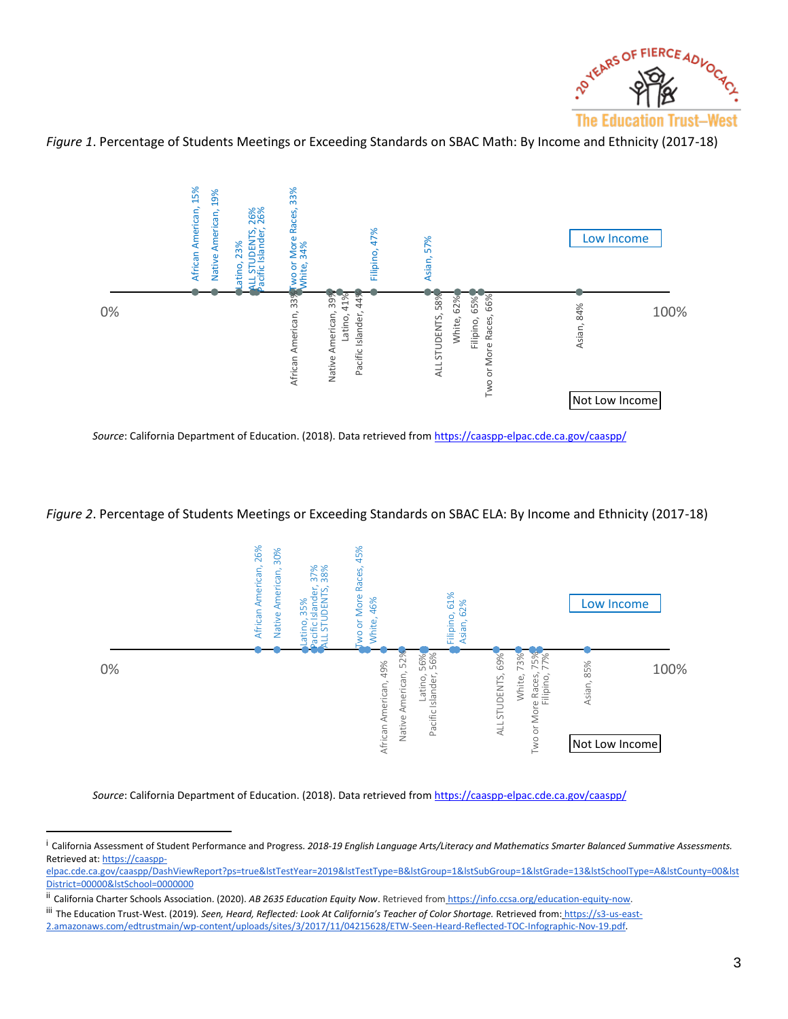

*Figure 1*. Percentage of Students Meetings or Exceeding Standards on SBAC Math: By Income and Ethnicity (2017-18)



*Source*: California Department of Education. (2018). Data retrieved fro[m https://caaspp-elpac.cde.ca.gov/caaspp/](https://caaspp-elpac.cde.ca.gov/caaspp/)

*Figure 2*. Percentage of Students Meetings or Exceeding Standards on SBAC ELA: By Income and Ethnicity (2017-18)



*Source*: California Department of Education. (2018). Data retrieved fro[m https://caaspp-elpac.cde.ca.gov/caaspp/](https://caaspp-elpac.cde.ca.gov/caaspp/)

<sup>i</sup> California Assessment of Student Performance and Progress. *2018-19 English Language Arts/Literacy and Mathematics Smarter Balanced Summative Assessments.*  Retrieved at: [https://caaspp-](https://caaspp-elpac.cde.ca.gov/caaspp/DashViewReport?ps=true&lstTestYear=2019&lstTestType=B&lstGroup=1&lstSubGroup=1&lstGrade=13&lstSchoolType=A&lstCounty=00&lstDistrict=00000&lstSchool=0000000)

[elpac.cde.ca.gov/caaspp/DashViewReport?ps=true&lstTestYear=2019&lstTestType=B&lstGroup=1&lstSubGroup=1&lstGrade=13&lstSchoolType=A&lstCounty=00&lst](https://caaspp-elpac.cde.ca.gov/caaspp/DashViewReport?ps=true&lstTestYear=2019&lstTestType=B&lstGroup=1&lstSubGroup=1&lstGrade=13&lstSchoolType=A&lstCounty=00&lstDistrict=00000&lstSchool=0000000) [District=00000&lstSchool=0000000](https://caaspp-elpac.cde.ca.gov/caaspp/DashViewReport?ps=true&lstTestYear=2019&lstTestType=B&lstGroup=1&lstSubGroup=1&lstGrade=13&lstSchoolType=A&lstCounty=00&lstDistrict=00000&lstSchool=0000000)

ii California Charter Schools Association. (2020). AB 2635 Education Equity Now. Retrieved fro[m](https://info.ccsa.org/education-equity-now) [https://info.ccsa.org/education-equity-now.](https://info.ccsa.org/education-equity-now)

iii The Education Trust-West. (2019)*. Seen, Heard, Reflected: Look At California's Teacher of Color Shortage.* Retrieved fro[m:](https://s3-us-east-2.amazonaws.com/edtrustmain/wp-content/uploads/sites/3/2017/11/04215628/ETW-Seen-Heard-Reflected-TOC-Infographic-Nov-19.pdf) [https://s3-us-east-](https://s3-us-east-2.amazonaws.com/edtrustmain/wp-content/uploads/sites/3/2017/11/04215628/ETW-Seen-Heard-Reflected-TOC-Infographic-Nov-19.pdf)[2.amazonaws.com/edtrustmain/wp-content/uploads/sites/3/2017/11/04215628/ETW-Seen-Heard-Reflected-TOC-Infographic-Nov-19.pdf.](https://s3-us-east-2.amazonaws.com/edtrustmain/wp-content/uploads/sites/3/2017/11/04215628/ETW-Seen-Heard-Reflected-TOC-Infographic-Nov-19.pdf)